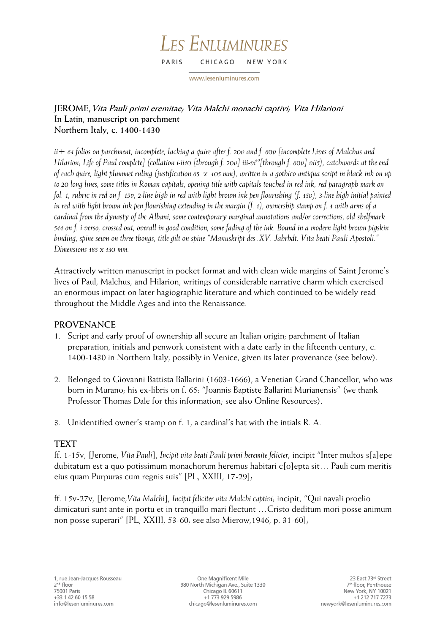#### LES ENLUMINURES PARIS CHICAGO NEW YORK

www.lesenluminures.com

# **JEROME,Vita Pauli primi eremitae; Vita Malchi monachi captivi; Vita Hilarioni In Latin, manuscript on parchment Northern Italy, c. 1400-1430**

*ii+ 64 folios on parchment, incomplete, lacking a quire after f. 20v and f. 60v [incomplete Lives of Malchus and Hilarion; Life of Paul complete] (collation i-ii10 [through f. 20v] iii-vi<sup>10</sup>[through f. 60v] vii5), catchwords at the end of each quire, light plummet ruling (justification 65 x 105 mm), written in a gothico antiqua script in black ink on up to 20 long lines, some titles in Roman capitals, opening title with capitals touched in red ink, red paragraph mark on fol. 1, rubric in red on f. 15v, 2-line high in red with light brown ink pen flourishing (f. 15v), 3-line high initial painted in red with light brown ink pen flourishing extending in the margin (f. 1), ownership stamp on f. 1 with arms of a cardinal from the dynasty of the Albani, some contemporary marginal annotations and/or corrections, old shelfmark 544 on f. i verso, crossed out, overall in good condition, some fading of the ink. Bound in a modern light brown pigskin binding, spine sewn on three thongs, title gilt on spine "Manuskript des .XV. Jahrhdt. Vita beati Pauli Apostoli." Dimensions 185 x 130 mm.*

Attractively written manuscript in pocket format and with clean wide margins of Saint Jerome's lives of Paul, Malchus, and Hilarion, writings of considerable narrative charm which exercised an enormous impact on later hagiographic literature and which continued to be widely read throughout the Middle Ages and into the Renaissance.

## **PROVENANCE**

- 1. Script and early proof of ownership all secure an Italian origin; parchment of Italian preparation, initials and penwork consistent with a date early in the fifteenth century, c. 1400-1430 in Northern Italy, possibly in Venice, given its later provenance (see below).
- 2. Belonged to Giovanni Battista Ballarini (1603-1666), a Venetian Grand Chancellor, who was born in Murano; his ex-libris on f. 65: "Joannis Baptiste Ballarini Murianensis" (we thank Professor Thomas Dale for this information; see also Online Resources).
- 3. Unidentified owner's stamp on f. 1, a cardinal's hat with the intials R. A.

## **TEXT**

ff. 1-15v, [Jerome, *Vita Pauli*], *Incipit vita beati Pauli primi heremite felicter;* incipit "Inter multos s[a]epe dubitatum est a quo potissimum monachorum heremus habitari c[o]epta sit… Pauli cum meritis eius quam Purpuras cum regnis suis" [PL, XXIII, 17-29];

ff. 15v-27v, [Jerome,*Vita Malchi*], *Incipit feliciter vita Malchi captivi;* incipit, "Qui navali proelio dimicaturi sunt ante in portu et in tranquillo mari flectunt …Cristo deditum mori posse animum non posse superari" [PL, XXIII, 53-60; see also Mierow,1946, p. 31-60];

One Magnificent Mile 980 North Michigan Ave., Suite 1330 Chicago IL 60611 +1 773 929 5986 chicago@lesenluminures.com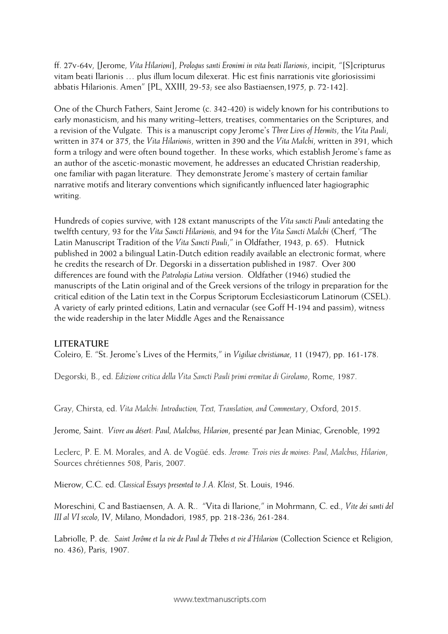ff. 27v-64v, [Jerome, *Vita Hilarioni*], *Prologus santi Eronimi in vita beati Ilarionis*, incipit, "[S]cripturus vitam beati Ilarionis … plus illum locum dilexerat. Hic est finis narrationis vite gloriosissimi abbatis Hilarionis. Amen" [PL, XXIII, 29-53; see also Bastiaensen,1975, p. 72-142].

One of the Church Fathers, Saint Jerome (c. 342-420) is widely known for his contributions to early monasticism, and his many writing–letters, treatises, commentaries on the Scriptures, and a revision of the Vulgate. This is a manuscript copy Jerome's *Three Lives of Hermits*, the *Vita Pauli*, written in 374 or 375, the *Vita Hilarionis*, written in 390 and the *Vita Malchi*, written in 391, which form a trilogy and were often bound together. In these works, which establish Jerome's fame as an author of the ascetic-monastic movement, he addresses an educated Christian readership, one familiar with pagan literature. They demonstrate Jerome's mastery of certain familiar narrative motifs and literary conventions which significantly influenced later hagiographic writing.

Hundreds of copies survive, with 128 extant manuscripts of the *Vita sancti Pauli* antedating the twelfth century, 93 for the *Vita Sancti Hilarionis,* and 94 for the *Vita Sancti Malchi* (Cherf, "The Latin Manuscript Tradition of the *Vita Sancti Pauli*," in Oldfather, 1943, p. 65). Hutnick published in 2002 a bilingual Latin-Dutch edition readily available an electronic format, where he credits the research of Dr. Degorski in a dissertation published in 1987. Over 300 differences are found with the *Patrologia Latina* version. Oldfather (1946) studied the manuscripts of the Latin original and of the Greek versions of the trilogy in preparation for the critical edition of the Latin text in the Corpus Scriptorum Ecclesiasticorum Latinorum (CSEL). A variety of early printed editions, Latin and vernacular (see Goff H-194 and passim), witness the wide readership in the later Middle Ages and the Renaissance

### **LITERATURE**

Coleiro, E. "St. Jerome's Lives of the Hermits," in *Vigiliae christianae*, 11 (1947), pp. 161-178.

Degorski, B., ed. *Edizione critica della Vita Sancti Pauli primi eremitae di Girolamo*, Rome, 1987.

Gray, Chirsta, ed. *Vita Malchi: Introduction, Text, Translation, and Commentary*, Oxford, 2015.

Jerome, Saint. *Vivre au désert: Paul, Malchus, Hilarion*, presenté par Jean Miniac, Grenoble, 1992

Leclerc, P. E. M. Morales, and A. de Vogüé. eds. *Jerome: Trois vies de moines: Paul, Malchus, Hilarion*, Sources chrétiennes 508, Paris, 2007.

Mierow, C.C. ed. *Classical Essays presented to J.A. Kleist*, St. Louis, 1946.

Moreschini, C and Bastiaensen, A. A. R.. "Vita di Ilarione," in Mohrmann, C. ed., *Vite dei santi del III al VI secolo*, IV, Milano, Mondadori, 1985, pp. 218-236; 261-284.

Labriolle, P. de. *Saint Jerôme et la vie de Paul de Thebes et vie d'Hilarion* (Collection Science et Religion, no. 436), Paris, 1907.